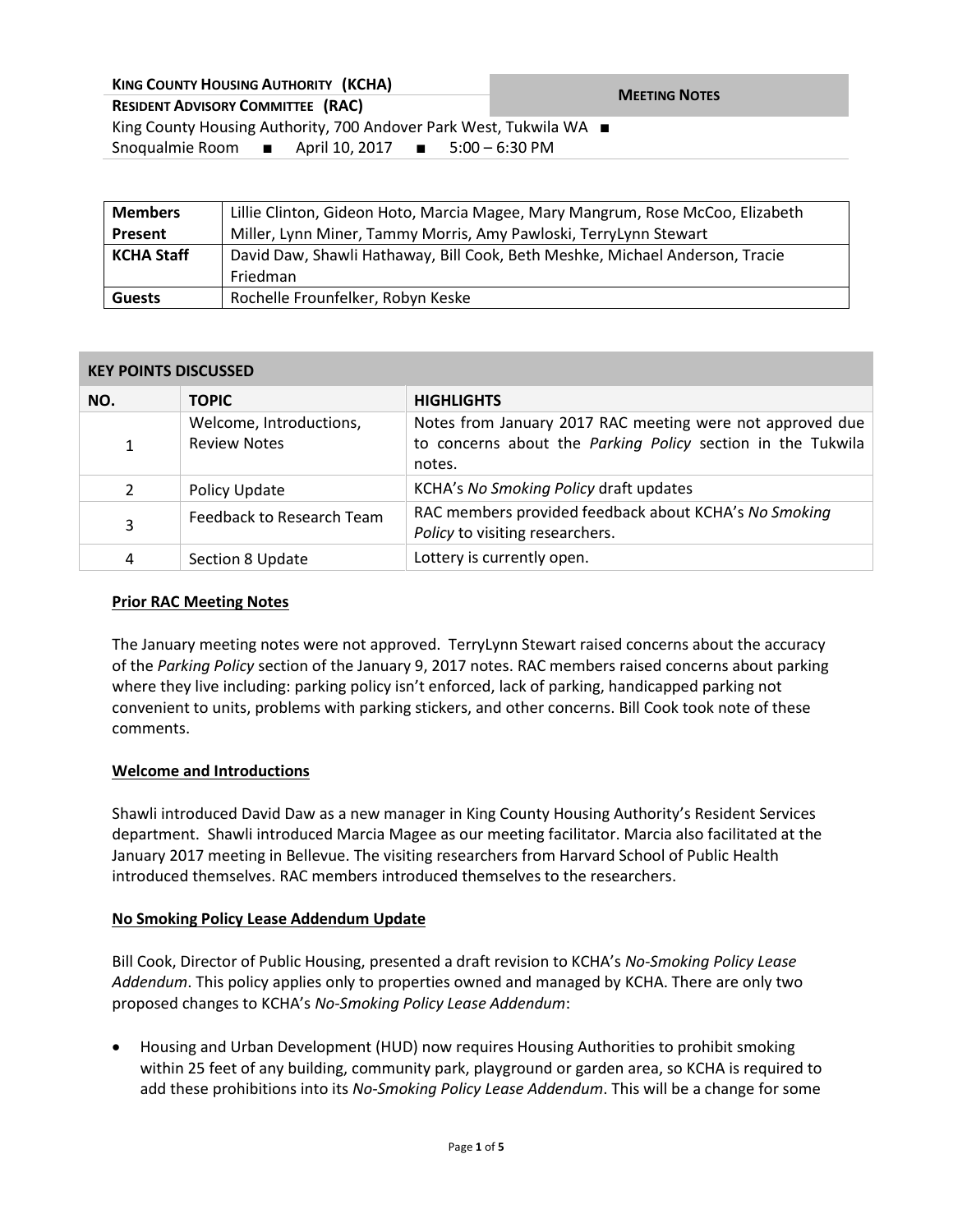| <b>KING COUNTY HOUSING AUTHORITY (KCHA)</b>                                 | <b>MEETING NOTES</b> |  |  |  |
|-----------------------------------------------------------------------------|----------------------|--|--|--|
| <b>RESIDENT ADVISORY COMMITTEE (RAC)</b>                                    |                      |  |  |  |
| King County Housing Authority, 700 Andover Park West, Tukwila WA ■          |                      |  |  |  |
| Snoqualmie Room $\blacksquare$ April 10, 2017 $\blacksquare$ 5:00 – 6:30 PM |                      |  |  |  |
|                                                                             |                      |  |  |  |

| <b>Members</b>    | Lillie Clinton, Gideon Hoto, Marcia Magee, Mary Mangrum, Rose McCoo, Elizabeth |  |
|-------------------|--------------------------------------------------------------------------------|--|
| Present           | Miller, Lynn Miner, Tammy Morris, Amy Pawloski, TerryLynn Stewart              |  |
| <b>KCHA Staff</b> | David Daw, Shawli Hathaway, Bill Cook, Beth Meshke, Michael Anderson, Tracie   |  |
|                   | Friedman                                                                       |  |
| <b>Guests</b>     | Rochelle Frounfelker, Robyn Keske                                              |  |

#### **KEY POINTS DISCUSSED**

| NO.            | <b>TOPIC</b>                                   | <b>HIGHLIGHTS</b>                                                                                                                  |
|----------------|------------------------------------------------|------------------------------------------------------------------------------------------------------------------------------------|
|                | Welcome, Introductions,<br><b>Review Notes</b> | Notes from January 2017 RAC meeting were not approved due<br>to concerns about the Parking Policy section in the Tukwila<br>notes. |
| $\overline{2}$ | Policy Update                                  | KCHA's No Smoking Policy draft updates                                                                                             |
| 3              | Feedback to Research Team                      | RAC members provided feedback about KCHA's No Smoking<br>Policy to visiting researchers.                                           |
| 4              | Section 8 Update                               | Lottery is currently open.                                                                                                         |

#### **Prior RAC Meeting Notes**

The January meeting notes were not approved. TerryLynn Stewart raised concerns about the accuracy of the *Parking Policy* section of the January 9, 2017 notes. RAC members raised concerns about parking where they live including: parking policy isn't enforced, lack of parking, handicapped parking not convenient to units, problems with parking stickers, and other concerns. Bill Cook took note of these comments.

#### **Welcome and Introductions**

Shawli introduced David Daw as a new manager in King County Housing Authority's Resident Services department. Shawli introduced Marcia Magee as our meeting facilitator. Marcia also facilitated at the January 2017 meeting in Bellevue. The visiting researchers from Harvard School of Public Health introduced themselves. RAC members introduced themselves to the researchers.

### **No Smoking Policy Lease Addendum Update**

Bill Cook, Director of Public Housing, presented a draft revision to KCHA's *No-Smoking Policy Lease Addendum*. This policy applies only to properties owned and managed by KCHA. There are only two proposed changes to KCHA's *No-Smoking Policy Lease Addendum*:

 Housing and Urban Development (HUD) now requires Housing Authorities to prohibit smoking within 25 feet of any building, community park, playground or garden area, so KCHA is required to add these prohibitions into its *No-Smoking Policy Lease Addendum*. This will be a change for some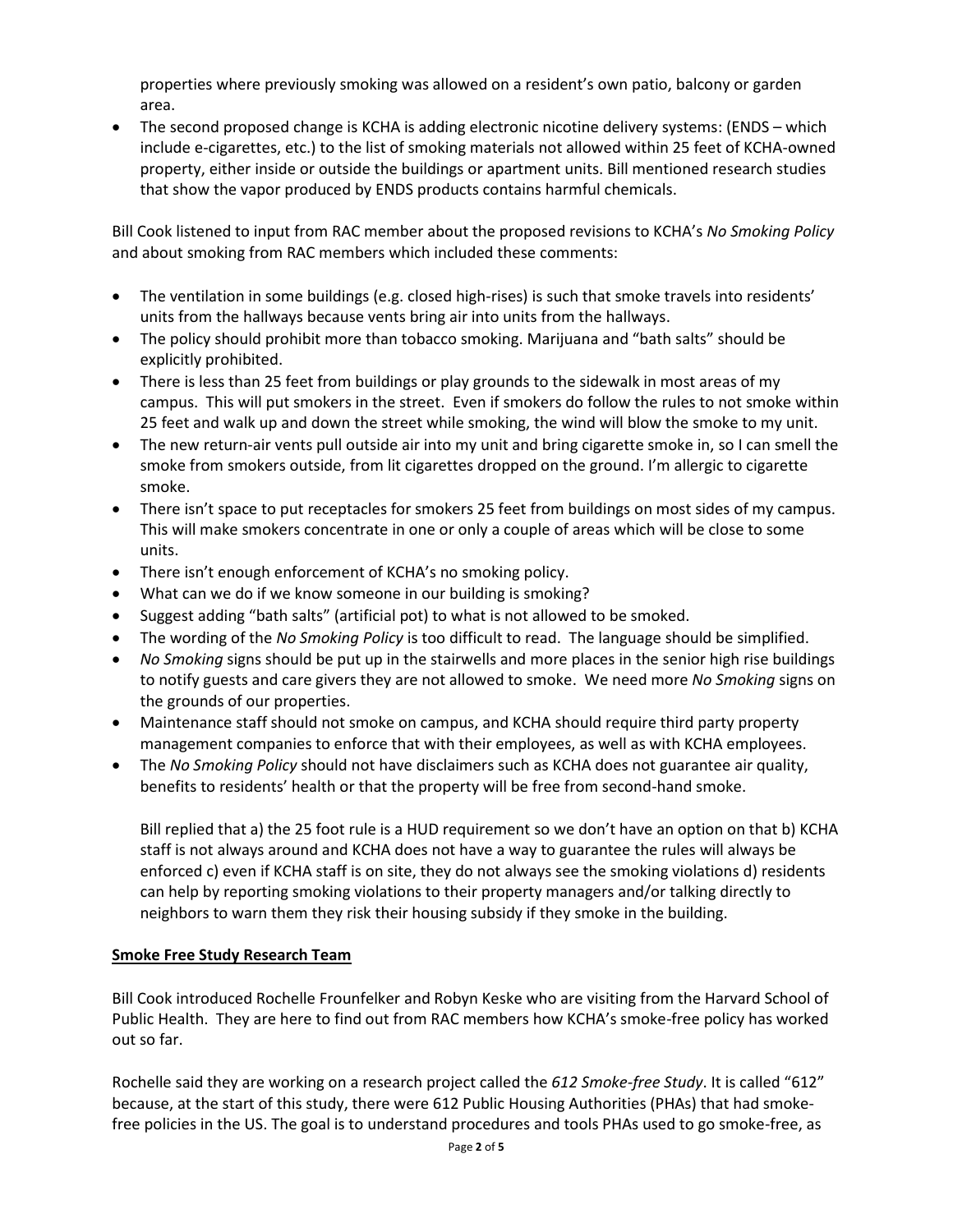properties where previously smoking was allowed on a resident's own patio, balcony or garden area.

 The second proposed change is KCHA is adding electronic nicotine delivery systems: (ENDS – which include e-cigarettes, etc.) to the list of smoking materials not allowed within 25 feet of KCHA-owned property, either inside or outside the buildings or apartment units. Bill mentioned research studies that show the vapor produced by ENDS products contains harmful chemicals.

Bill Cook listened to input from RAC member about the proposed revisions to KCHA's *No Smoking Policy* and about smoking from RAC members which included these comments:

- The ventilation in some buildings (e.g. closed high-rises) is such that smoke travels into residents' units from the hallways because vents bring air into units from the hallways.
- The policy should prohibit more than tobacco smoking. Marijuana and "bath salts" should be explicitly prohibited.
- There is less than 25 feet from buildings or play grounds to the sidewalk in most areas of my campus. This will put smokers in the street. Even if smokers do follow the rules to not smoke within 25 feet and walk up and down the street while smoking, the wind will blow the smoke to my unit.
- The new return-air vents pull outside air into my unit and bring cigarette smoke in, so I can smell the smoke from smokers outside, from lit cigarettes dropped on the ground. I'm allergic to cigarette smoke.
- There isn't space to put receptacles for smokers 25 feet from buildings on most sides of my campus. This will make smokers concentrate in one or only a couple of areas which will be close to some units.
- There isn't enough enforcement of KCHA's no smoking policy.
- What can we do if we know someone in our building is smoking?
- Suggest adding "bath salts" (artificial pot) to what is not allowed to be smoked.
- The wording of the *No Smoking Policy* is too difficult to read. The language should be simplified.
- *No Smoking* signs should be put up in the stairwells and more places in the senior high rise buildings to notify guests and care givers they are not allowed to smoke. We need more *No Smoking* signs on the grounds of our properties.
- Maintenance staff should not smoke on campus, and KCHA should require third party property management companies to enforce that with their employees, as well as with KCHA employees.
- The *No Smoking Policy* should not have disclaimers such as KCHA does not guarantee air quality, benefits to residents' health or that the property will be free from second-hand smoke.

Bill replied that a) the 25 foot rule is a HUD requirement so we don't have an option on that b) KCHA staff is not always around and KCHA does not have a way to guarantee the rules will always be enforced c) even if KCHA staff is on site, they do not always see the smoking violations d) residents can help by reporting smoking violations to their property managers and/or talking directly to neighbors to warn them they risk their housing subsidy if they smoke in the building.

# **Smoke Free Study Research Team**

Bill Cook introduced Rochelle Frounfelker and Robyn Keske who are visiting from the Harvard School of Public Health. They are here to find out from RAC members how KCHA's smoke-free policy has worked out so far.

Rochelle said they are working on a research project called the *612 Smoke-free Study*. It is called "612" because, at the start of this study, there were 612 Public Housing Authorities (PHAs) that had smokefree policies in the US. The goal is to understand procedures and tools PHAs used to go smoke-free, as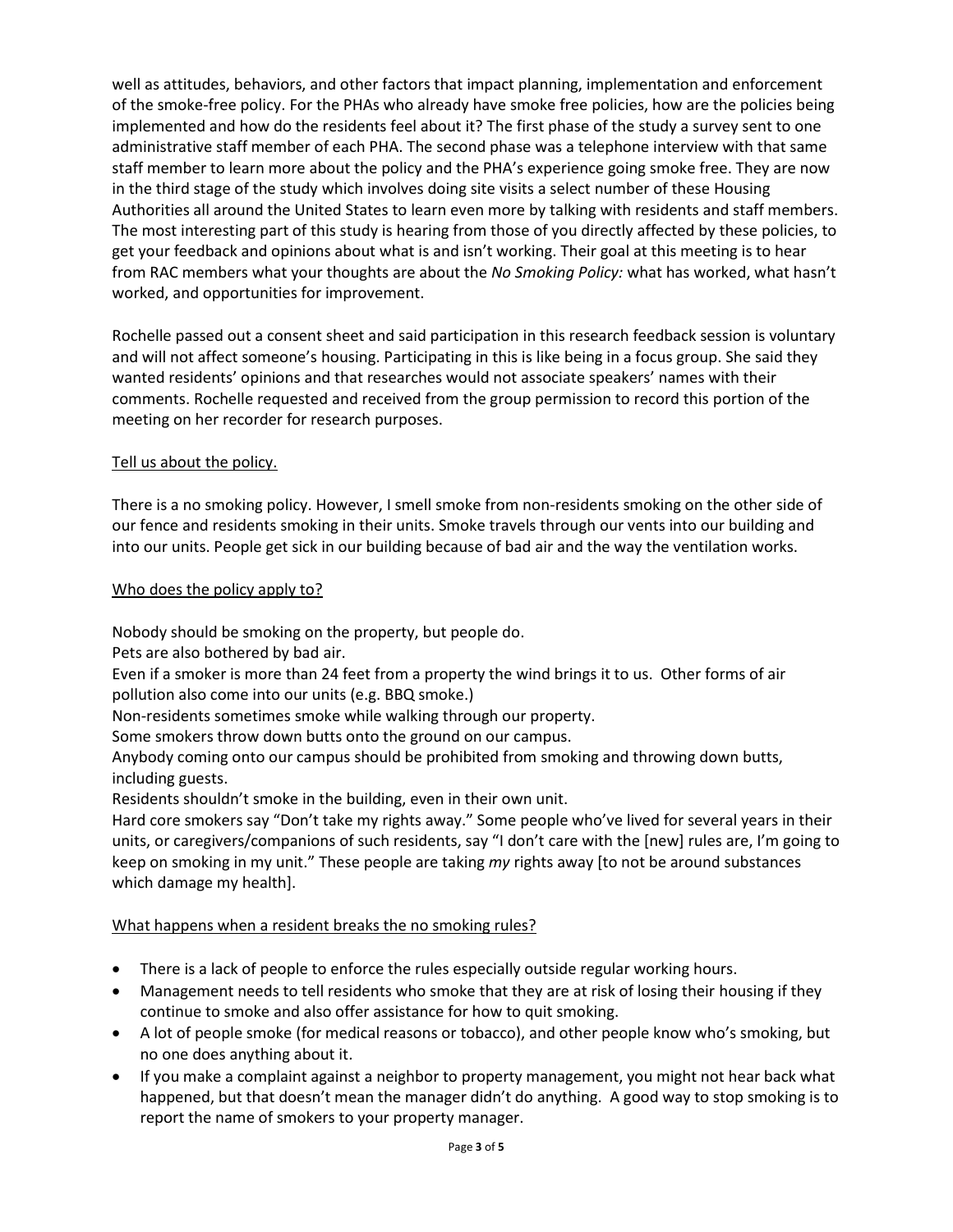well as attitudes, behaviors, and other factors that impact planning, implementation and enforcement of the smoke-free policy. For the PHAs who already have smoke free policies, how are the policies being implemented and how do the residents feel about it? The first phase of the study a survey sent to one administrative staff member of each PHA. The second phase was a telephone interview with that same staff member to learn more about the policy and the PHA's experience going smoke free. They are now in the third stage of the study which involves doing site visits a select number of these Housing Authorities all around the United States to learn even more by talking with residents and staff members. The most interesting part of this study is hearing from those of you directly affected by these policies, to get your feedback and opinions about what is and isn't working. Their goal at this meeting is to hear from RAC members what your thoughts are about the *No Smoking Policy:* what has worked, what hasn't worked, and opportunities for improvement.

Rochelle passed out a consent sheet and said participation in this research feedback session is voluntary and will not affect someone's housing. Participating in this is like being in a focus group. She said they wanted residents' opinions and that researches would not associate speakers' names with their comments. Rochelle requested and received from the group permission to record this portion of the meeting on her recorder for research purposes.

# Tell us about the policy.

There is a no smoking policy. However, I smell smoke from non-residents smoking on the other side of our fence and residents smoking in their units. Smoke travels through our vents into our building and into our units. People get sick in our building because of bad air and the way the ventilation works.

### Who does the policy apply to?

Nobody should be smoking on the property, but people do.

Pets are also bothered by bad air.

Even if a smoker is more than 24 feet from a property the wind brings it to us. Other forms of air pollution also come into our units (e.g. BBQ smoke.)

Non-residents sometimes smoke while walking through our property.

Some smokers throw down butts onto the ground on our campus.

Anybody coming onto our campus should be prohibited from smoking and throwing down butts, including guests.

Residents shouldn't smoke in the building, even in their own unit.

Hard core smokers say "Don't take my rights away." Some people who've lived for several years in their units, or caregivers/companions of such residents, say "I don't care with the [new] rules are, I'm going to keep on smoking in my unit." These people are taking *my* rights away [to not be around substances which damage my health].

### What happens when a resident breaks the no smoking rules?

- There is a lack of people to enforce the rules especially outside regular working hours.
- Management needs to tell residents who smoke that they are at risk of losing their housing if they continue to smoke and also offer assistance for how to quit smoking.
- A lot of people smoke (for medical reasons or tobacco), and other people know who's smoking, but no one does anything about it.
- If you make a complaint against a neighbor to property management, you might not hear back what happened, but that doesn't mean the manager didn't do anything. A good way to stop smoking is to report the name of smokers to your property manager.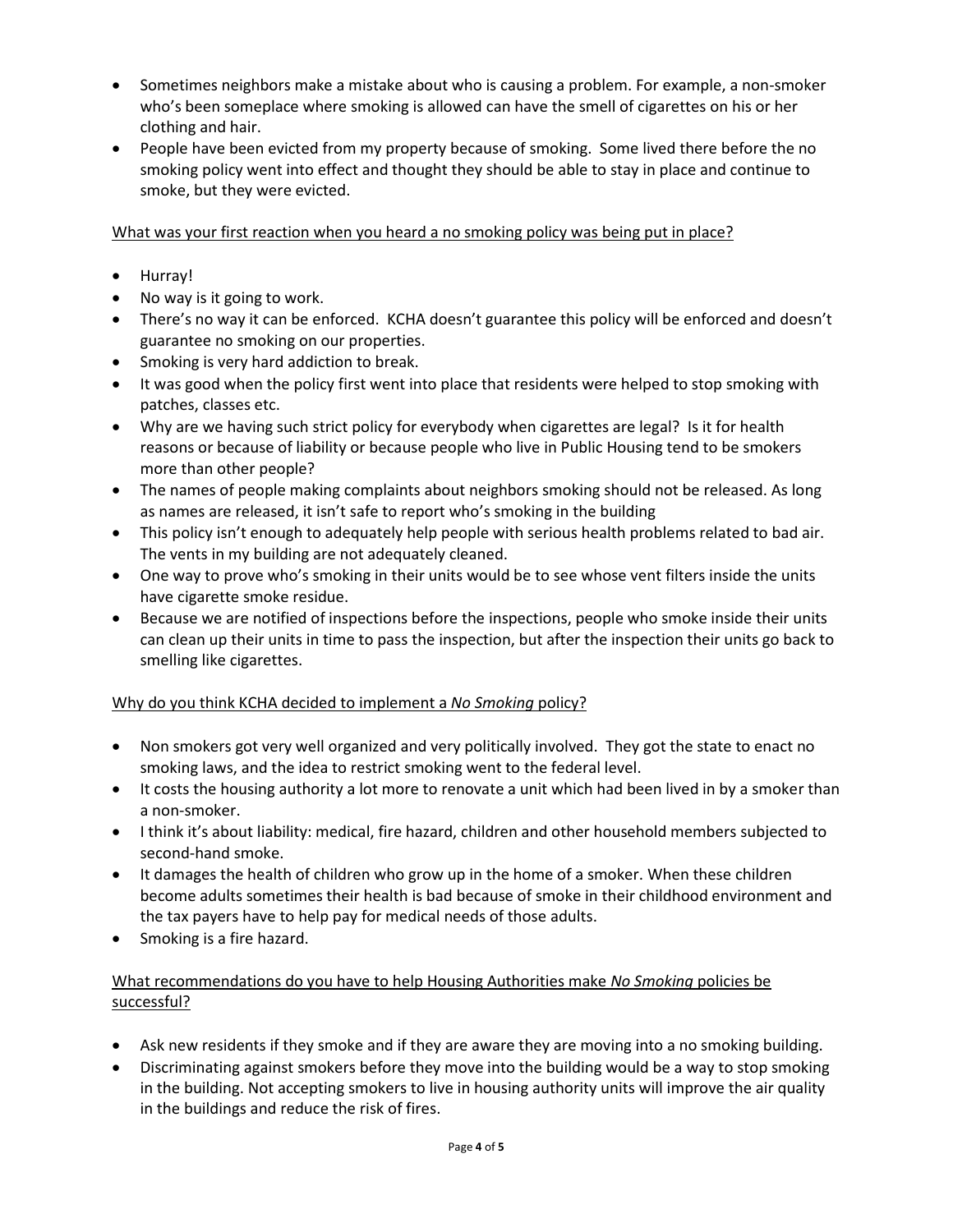- Sometimes neighbors make a mistake about who is causing a problem. For example, a non-smoker who's been someplace where smoking is allowed can have the smell of cigarettes on his or her clothing and hair.
- People have been evicted from my property because of smoking. Some lived there before the no smoking policy went into effect and thought they should be able to stay in place and continue to smoke, but they were evicted.

### What was your first reaction when you heard a no smoking policy was being put in place?

- Hurray!
- No way is it going to work.
- There's no way it can be enforced. KCHA doesn't guarantee this policy will be enforced and doesn't guarantee no smoking on our properties.
- Smoking is very hard addiction to break.
- It was good when the policy first went into place that residents were helped to stop smoking with patches, classes etc.
- Why are we having such strict policy for everybody when cigarettes are legal? Is it for health reasons or because of liability or because people who live in Public Housing tend to be smokers more than other people?
- The names of people making complaints about neighbors smoking should not be released. As long as names are released, it isn't safe to report who's smoking in the building
- This policy isn't enough to adequately help people with serious health problems related to bad air. The vents in my building are not adequately cleaned.
- One way to prove who's smoking in their units would be to see whose vent filters inside the units have cigarette smoke residue.
- Because we are notified of inspections before the inspections, people who smoke inside their units can clean up their units in time to pass the inspection, but after the inspection their units go back to smelling like cigarettes.

# Why do you think KCHA decided to implement a *No Smoking* policy?

- Non smokers got very well organized and very politically involved. They got the state to enact no smoking laws, and the idea to restrict smoking went to the federal level.
- It costs the housing authority a lot more to renovate a unit which had been lived in by a smoker than a non-smoker.
- I think it's about liability: medical, fire hazard, children and other household members subjected to second-hand smoke.
- It damages the health of children who grow up in the home of a smoker. When these children become adults sometimes their health is bad because of smoke in their childhood environment and the tax payers have to help pay for medical needs of those adults.
- Smoking is a fire hazard.

# What recommendations do you have to help Housing Authorities make *No Smoking* policies be successful?

- Ask new residents if they smoke and if they are aware they are moving into a no smoking building.
- Discriminating against smokers before they move into the building would be a way to stop smoking in the building. Not accepting smokers to live in housing authority units will improve the air quality in the buildings and reduce the risk of fires.